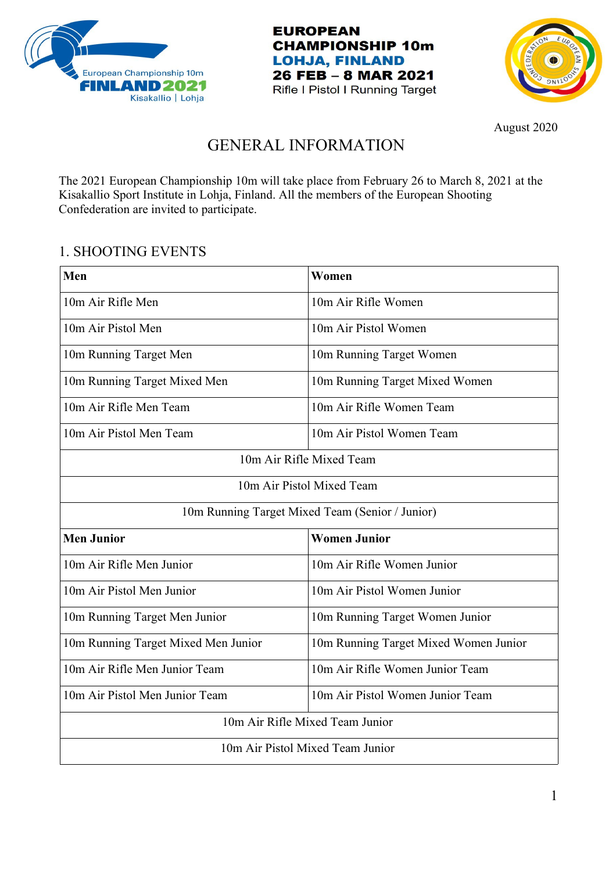





August 2020

# GENERAL INFORMATION

The 2021 European Championship 10m will take place from February 26 to March 8, 2021 at the Kisakallio Sport Institute in Lohja, Finland. All the members of the European Shooting Confederation are invited to participate.

## 1. SHOOTING EVENTS

| Men                                             | Women                                 |  |  |  |  |
|-------------------------------------------------|---------------------------------------|--|--|--|--|
| 10m Air Rifle Men                               | 10m Air Rifle Women                   |  |  |  |  |
| 10m Air Pistol Men                              | 10m Air Pistol Women                  |  |  |  |  |
| 10m Running Target Men                          | 10m Running Target Women              |  |  |  |  |
| 10m Running Target Mixed Men                    | 10m Running Target Mixed Women        |  |  |  |  |
| 10m Air Rifle Men Team                          | 10m Air Rifle Women Team              |  |  |  |  |
| 10m Air Pistol Men Team                         | 10m Air Pistol Women Team             |  |  |  |  |
| 10m Air Rifle Mixed Team                        |                                       |  |  |  |  |
|                                                 | 10m Air Pistol Mixed Team             |  |  |  |  |
| 10m Running Target Mixed Team (Senior / Junior) |                                       |  |  |  |  |
| <b>Men Junior</b>                               | <b>Women Junior</b>                   |  |  |  |  |
| 10m Air Rifle Men Junior                        | 10m Air Rifle Women Junior            |  |  |  |  |
| 10m Air Pistol Men Junior                       | 10m Air Pistol Women Junior           |  |  |  |  |
| 10m Running Target Men Junior                   | 10m Running Target Women Junior       |  |  |  |  |
| 10m Running Target Mixed Men Junior             | 10m Running Target Mixed Women Junior |  |  |  |  |
| 10m Air Rifle Men Junior Team                   | 10m Air Rifle Women Junior Team       |  |  |  |  |
| 10m Air Pistol Men Junior Team                  | 10m Air Pistol Women Junior Team      |  |  |  |  |
| 10m Air Rifle Mixed Team Junior                 |                                       |  |  |  |  |
| 10m Air Pistol Mixed Team Junior                |                                       |  |  |  |  |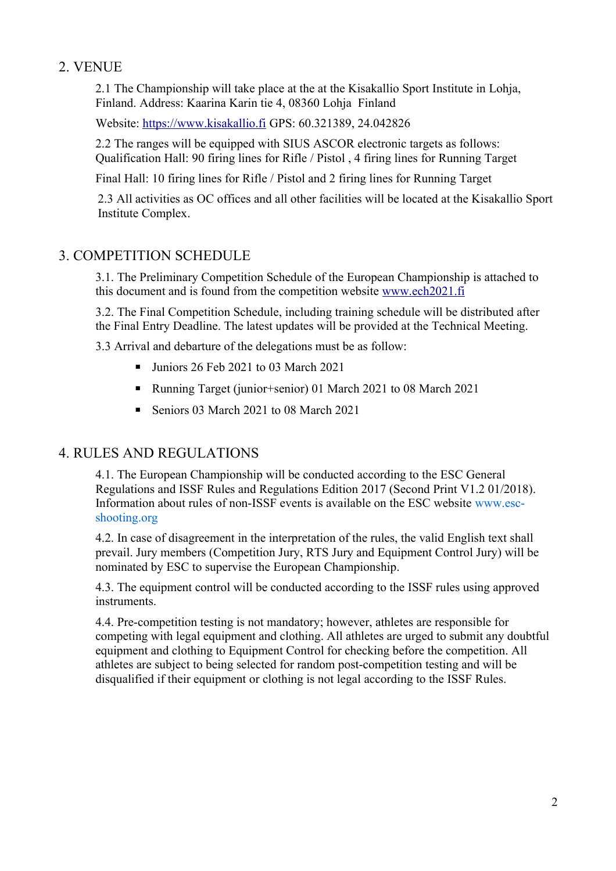## 2. VENUE

2.1 The Championship will take place at the at the Kisakallio Sport Institute in Lohja, Finland. Address: Kaarina Karin tie 4, 08360 Lohja Finland

Website: [https://www.kisakallio.fi](https://www.kisakallio.fi/) GPS: 60.321389, 24.042826

2.2 The ranges will be equipped with SIUS ASCOR electronic targets as follows: Qualification Hall: 90 firing lines for Rifle / Pistol , 4 firing lines for Running Target

Final Hall: 10 firing lines for Rifle / Pistol and 2 firing lines for Running Target

2.3 All activities as OC offices and all other facilities will be located at the Kisakallio Sport Institute Complex.

### 3. COMPETITION SCHEDULE

3.1. The Preliminary Competition Schedule of the European Championship is attached to this document and is found from the competition website [www.ech2021.fi](http://www.ech2021.fi/)

3.2. The Final Competition Schedule, including training schedule will be distributed after the Final Entry Deadline. The latest updates will be provided at the Technical Meeting.

3.3 Arrival and debarture of the delegations must be as follow:

- Juniors 26 Feb 2021 to 03 March 2021
- Running Target (junior+senior) 01 March 2021 to 08 March 2021
- Seniors 03 March 2021 to 08 March 2021

## 4. RULES AND REGULATIONS

4.1. The European Championship will be conducted according to the ESC General Regulations and ISSF Rules and Regulations Edition 2017 (Second Print V1.2 01/2018). Information about rules of non-ISSF events is available on the ESC website www.escshooting.org

4.2. In case of disagreement in the interpretation of the rules, the valid English text shall prevail. Jury members (Competition Jury, RTS Jury and Equipment Control Jury) will be nominated by ESC to supervise the European Championship.

4.3. The equipment control will be conducted according to the ISSF rules using approved instruments.

4.4. Pre-competition testing is not mandatory; however, athletes are responsible for competing with legal equipment and clothing. All athletes are urged to submit any doubtful equipment and clothing to Equipment Control for checking before the competition. All athletes are subject to being selected for random post-competition testing and will be disqualified if their equipment or clothing is not legal according to the ISSF Rules.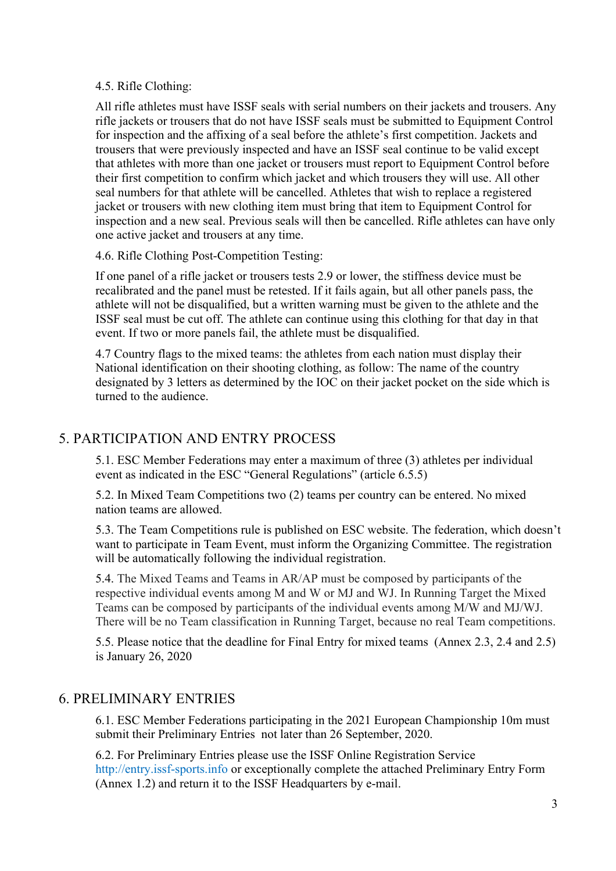#### 4.5. Rifle Clothing:

All rifle athletes must have ISSF seals with serial numbers on their jackets and trousers. Any rifle jackets or trousers that do not have ISSF seals must be submitted to Equipment Control for inspection and the affixing of a seal before the athlete's first competition. Jackets and trousers that were previously inspected and have an ISSF seal continue to be valid except that athletes with more than one jacket or trousers must report to Equipment Control before their first competition to confirm which jacket and which trousers they will use. All other seal numbers for that athlete will be cancelled. Athletes that wish to replace a registered jacket or trousers with new clothing item must bring that item to Equipment Control for inspection and a new seal. Previous seals will then be cancelled. Rifle athletes can have only one active jacket and trousers at any time.

4.6. Rifle Clothing Post-Competition Testing:

If one panel of a rifle jacket or trousers tests 2.9 or lower, the stiffness device must be recalibrated and the panel must be retested. If it fails again, but all other panels pass, the athlete will not be disqualified, but a written warning must be given to the athlete and the ISSF seal must be cut off. The athlete can continue using this clothing for that day in that event. If two or more panels fail, the athlete must be disqualified.

4.7 Country flags to the mixed teams: the athletes from each nation must display their National identification on their shooting clothing, as follow: The name of the country designated by 3 letters as determined by the IOC on their jacket pocket on the side which is turned to the audience.

## 5. PARTICIPATION AND ENTRY PROCESS

5.1. ESC Member Federations may enter a maximum of three (3) athletes per individual event as indicated in the ESC "General Regulations" (article 6.5.5)

5.2. In Mixed Team Competitions two (2) teams per country can be entered. No mixed nation teams are allowed.

5.3. The Team Competitions rule is published on ESC website. The federation, which doesn't want to participate in Team Event, must inform the Organizing Committee. The registration will be automatically following the individual registration.

5.4. The Mixed Teams and Teams in AR/AP must be composed by participants of the respective individual events among M and W or MJ and WJ. In Running Target the Mixed Teams can be composed by participants of the individual events among M/W and MJ/WJ. There will be no Team classification in Running Target, because no real Team competitions.

5.5. Please notice that the deadline for Final Entry for mixed teams (Annex 2.3, 2.4 and 2.5) is January 26, 2020

## 6. PRELIMINARY ENTRIES

6.1. ESC Member Federations participating in the 2021 European Championship 10m must submit their Preliminary Entries not later than 26 September, 2020.

6.2. For Preliminary Entries please use the ISSF Online Registration Service http://entry.issf-sports.info or exceptionally complete the attached Preliminary Entry Form (Annex 1.2) and return it to the ISSF Headquarters by e-mail.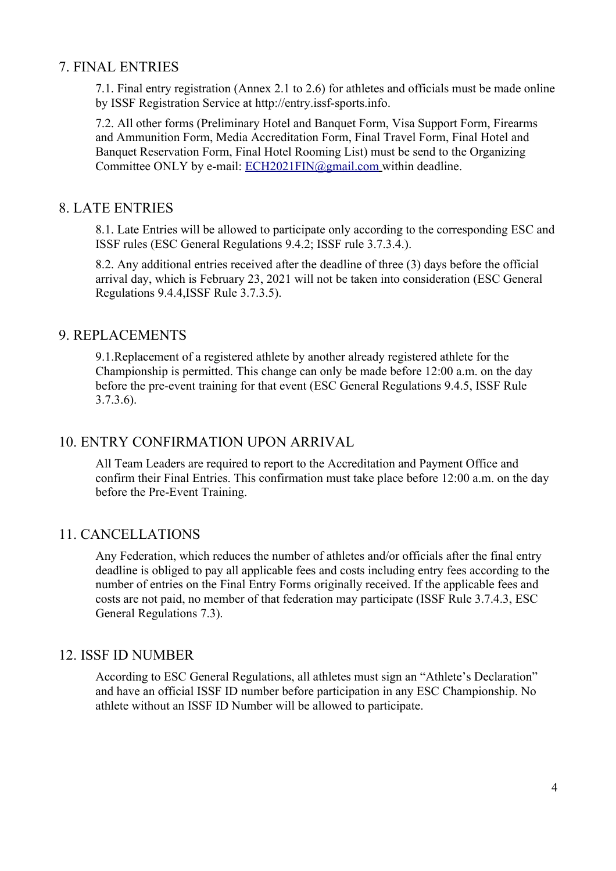### 7. FINAL ENTRIES

7.1. Final entry registration (Annex 2.1 to 2.6) for athletes and officials must be made online by ISSF Registration Service at http://entry.issf-sports.info.

7.2. All other forms (Preliminary Hotel and Banquet Form, Visa Support Form, Firearms and Ammunition Form, Media Accreditation Form, Final Travel Form, Final Hotel and Banquet Reservation Form, Final Hotel Rooming List) must be send to the Organizing Committee ONLY by e-mail: ECH2021FIN@gmail.com within deadline.

### 8. LATE ENTRIES

8.1. Late Entries will be allowed to participate only according to the corresponding ESC and ISSF rules (ESC General Regulations 9.4.2; ISSF rule 3.7.3.4.).

8.2. Any additional entries received after the deadline of three (3) days before the official arrival day, which is February 23, 2021 will not be taken into consideration (ESC General Regulations 9.4.4,ISSF Rule 3.7.3.5).

### 9. REPLACEMENTS

9.1.Replacement of a registered athlete by another already registered athlete for the Championship is permitted. This change can only be made before 12:00 a.m. on the day before the pre-event training for that event (ESC General Regulations 9.4.5, ISSF Rule 3.7.3.6).

### 10. ENTRY CONFIRMATION UPON ARRIVAL

All Team Leaders are required to report to the Accreditation and Payment Office and confirm their Final Entries. This confirmation must take place before 12:00 a.m. on the day before the Pre-Event Training.

## 11. CANCELLATIONS

Any Federation, which reduces the number of athletes and/or officials after the final entry deadline is obliged to pay all applicable fees and costs including entry fees according to the number of entries on the Final Entry Forms originally received. If the applicable fees and costs are not paid, no member of that federation may participate (ISSF Rule 3.7.4.3, ESC General Regulations 7.3).

### 12. ISSF ID NUMBER

According to ESC General Regulations, all athletes must sign an "Athlete's Declaration" and have an official ISSF ID number before participation in any ESC Championship. No athlete without an ISSF ID Number will be allowed to participate.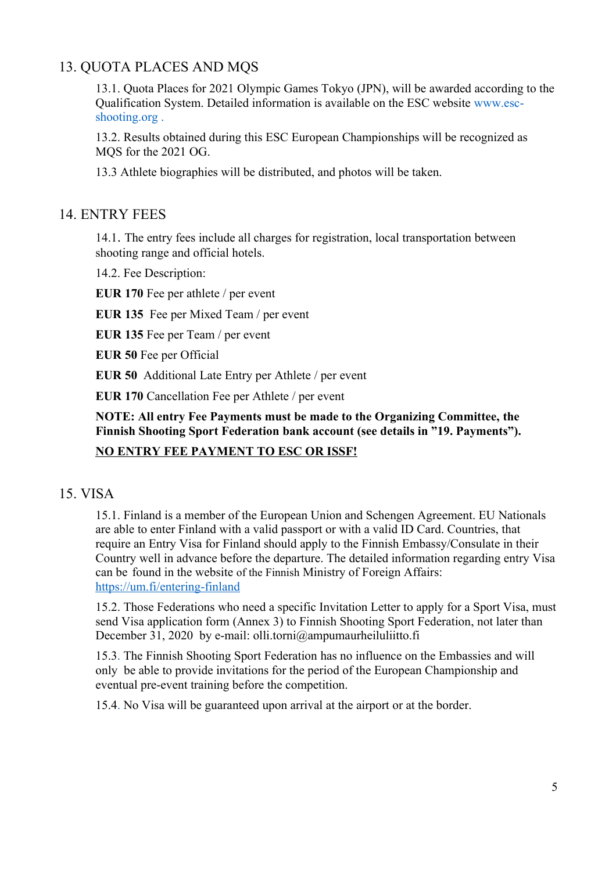## 13. QUOTA PLACES AND MQS

13.1. Quota Places for 2021 Olympic Games Tokyo (JPN), will be awarded according to the Qualification System. Detailed information is available on the ESC website www.escshooting.org .

13.2. Results obtained during this ESC European Championships will be recognized as MQS for the 2021 OG.

13.3 Athlete biographies will be distributed, and photos will be taken.

### 14. ENTRY FEES

14.1. The entry fees include all charges for registration, local transportation between shooting range and official hotels.

14.2. Fee Description:

**EUR 170** Fee per athlete / per event

**EUR 135** Fee per Mixed Team / per event

**EUR 135** Fee per Team / per event

**EUR 50** Fee per Official

**EUR 50** Additional Late Entry per Athlete / per event

**EUR 170** Cancellation Fee per Athlete / per event

**NOTE: All entry Fee Payments must be made to the Organizing Committee, the Finnish Shooting Sport Federation bank account (see details in "19. Payments").** 

### **NO ENTRY FEE PAYMENT TO ESC OR ISSF!**

### 15. VISA

15.1. Finland is a member of the European Union and Schengen Agreement. EU Nationals are able to enter Finland with a valid passport or with a valid ID Card. Countries, that require an Entry Visa for Finland should apply to the Finnish Embassy/Consulate in their Country well in advance before the departure. The detailed information regarding entry Visa can be found in the website of the Finnish Ministry of Foreign Affairs: <https://um.fi/entering-finland>

15.2. Those Federations who need a specific Invitation Letter to apply for a Sport Visa, must send Visa application form (Annex 3) to Finnish Shooting Sport Federation, not later than December 31, 2020 by e-mail: olli.torni@ampumaurheiluliitto.fi

15.3. The Finnish Shooting Sport Federation has no influence on the Embassies and will only be able to provide invitations for the period of the European Championship and eventual pre-event training before the competition.

15.4. No Visa will be guaranteed upon arrival at the airport or at the border.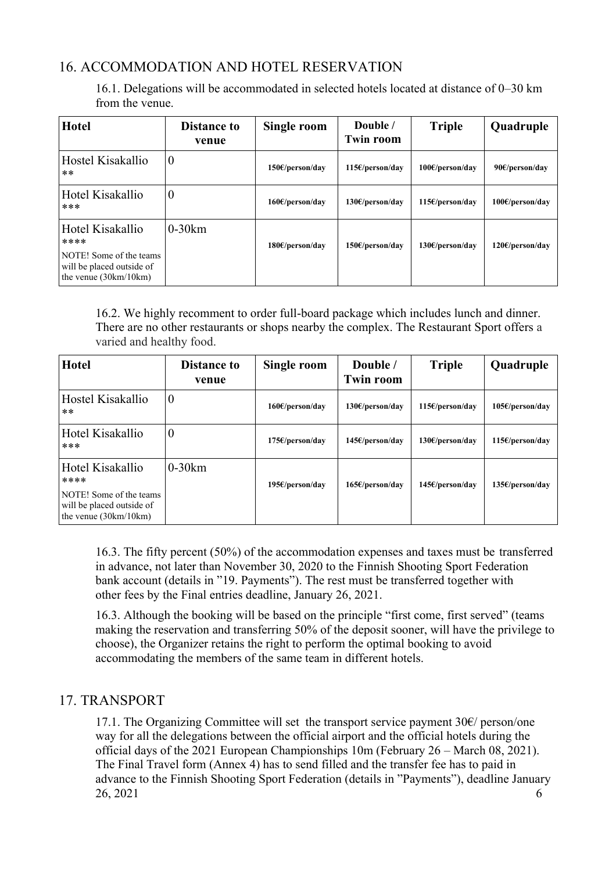## 16. ACCOMMODATION AND HOTEL RESERVATION

16.1. Delegations will be accommodated in selected hotels located at distance of 0–30 km from the venue.

| <b>Hotel</b>                                                                                                | <b>Distance to</b><br>venue | Single room              | Double /<br>Twin room        | <b>Triple</b>            | Quadruple                    |
|-------------------------------------------------------------------------------------------------------------|-----------------------------|--------------------------|------------------------------|--------------------------|------------------------------|
| Hostel Kisakallio<br>$***$                                                                                  | $\boldsymbol{0}$            | 150f/person/day          | $115\epsilon$ /person/day    | $100 \times$ /person/day | 90 $\varepsilon$ /person/day |
| Hotel Kisakallio<br>***                                                                                     | $\boldsymbol{0}$            | $160\epsilon/person/day$ | 130f/person/day              | $115\epsilon/person/day$ | $100 \text{E/person/day}$    |
| Hotel Kisakallio<br>****<br>NOTE! Some of the teams<br>will be placed outside of<br>the venue $(30km/10km)$ | $0-30km$                    | 180f/person/day          | 150 <sup>ε</sup> /person/day | 130f/person/day          | 120 <sup>ε</sup> /person/day |

16.2. We highly recomment to order full-board package which includes lunch and dinner. There are no other restaurants or shops nearby the complex. The Restaurant Sport offers a varied and healthy food.

| <b>Hotel</b>                                                                    | <b>Distance to</b><br>venue | Single room     | Double /<br><b>Twin room</b> | <b>Triple</b>            | Quadruple       |
|---------------------------------------------------------------------------------|-----------------------------|-----------------|------------------------------|--------------------------|-----------------|
| Hostel Kisakallio<br>$***$                                                      | $\boldsymbol{0}$            | 160f/person/day | 130f/person/day              | $115\epsilon/person/day$ | 105€/person/day |
| Hotel Kisakallio<br>***                                                         | $\boldsymbol{0}$            | 175f/person/day | $145\epsilon$ /person/day    | 130f/person/day          | 115f/person/day |
| Hotel Kisakallio<br>****                                                        | $0-30km$                    | 195f/person/day | 165f/person/day              | $145\epsilon/person/day$ | 135f/person/day |
| NOTE! Some of the teams<br>will be placed outside of<br>the venue $(30km/10km)$ |                             |                 |                              |                          |                 |

16.3. The fifty percent (50%) of the accommodation expenses and taxes must be transferred in advance, not later than November 30, 2020 to the Finnish Shooting Sport Federation bank account (details in "19. Payments"). The rest must be transferred together with other fees by the Final entries deadline, January 26, 2021.

16.3. Although the booking will be based on the principle "first come, first served" (teams making the reservation and transferring 50% of the deposit sooner, will have the privilege to choose), the Organizer retains the right to perform the optimal booking to avoid accommodating the members of the same team in different hotels.

## 17. TRANSPORT

17.1. The Organizing Committee will set the transport service payment  $30<sup>\epsilon</sup>$  person/one way for all the delegations between the official airport and the official hotels during the official days of the 2021 European Championships 10m (February 26 – March 08, 2021). The Final Travel form (Annex 4) has to send filled and the transfer fee has to paid in advance to the Finnish Shooting Sport Federation (details in "Payments"), deadline January 26, 2021 6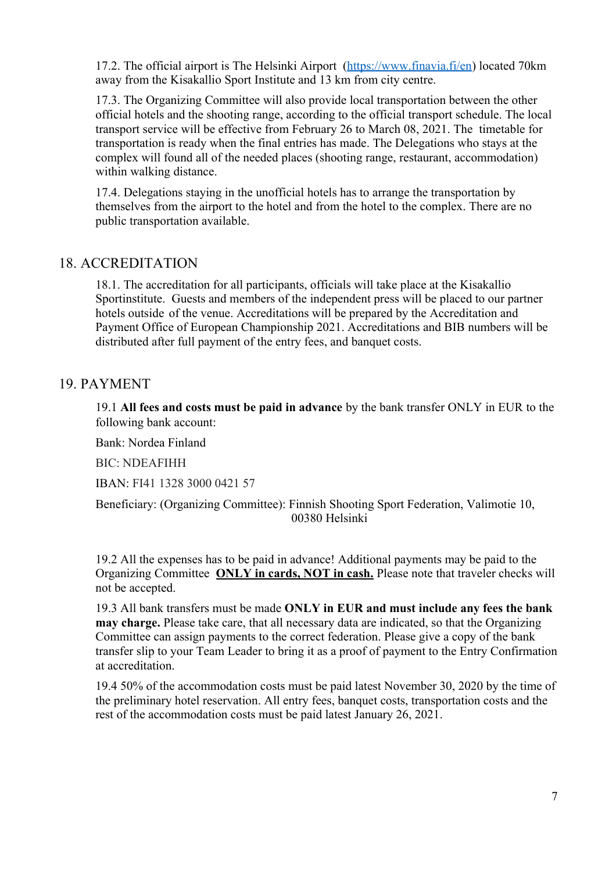17.2. The official airport is The Helsinki Airport [\(https://www.finavia.fi/en\)](https://www.finavia.fi/en) located 70km away from the Kisakallio Sport Institute and 13 km from city centre.

17.3. The Organizing Committee will also provide local transportation between the other official hotels and the shooting range, according to the official transport schedule. The local transport service will be effective from February 26 to March 08, 2021. The timetable for transportation is ready when the final entries has made. The Delegations who stays at the complex will found all of the needed places (shooting range, restaurant, accommodation) within walking distance.

17.4. Delegations staying in the unofficial hotels has to arrange the transportation by themselves from the airport to the hotel and from the hotel to the complex. There are no public transportation available.

### 18. ACCREDITATION

18.1. The accreditation for all participants, officials will take place at the Kisakallio Sportinstitute. Guests and members of the independent press will be placed to our partner hotels outside of the venue. Accreditations will be prepared by the Accreditation and Payment Office of European Championship 2021. Accreditations and BIB numbers will be distributed after full payment of the entry fees, and banquet costs.

### 19. PAYMENT

19.1 **All fees and costs must be paid in advance** by the bank transfer ONLY in EUR to the following bank account:

Bank: Nordea Finland

BIC: NDEAFIHH

IBAN: FI41 1328 3000 0421 57

Beneficiary: (Organizing Committee): Finnish Shooting Sport Federation, Valimotie 10, 00380 Helsinki

19.2 All the expenses has to be paid in advance! Additional payments may be paid to the Organizing Committee **ONLY in cards, NOT in cash.** Please note that traveler checks will not be accepted.

19.3 All bank transfers must be made **ONLY in EUR and must include any fees the bank may charge.** Please take care, that all necessary data are indicated, so that the Organizing Committee can assign payments to the correct federation. Please give a copy of the bank transfer slip to your Team Leader to bring it as a proof of payment to the Entry Confirmation at accreditation.

19.4 50% of the accommodation costs must be paid latest November 30, 2020 by the time of the preliminary hotel reservation. All entry fees, banquet costs, transportation costs and the rest of the accommodation costs must be paid latest January 26, 2021.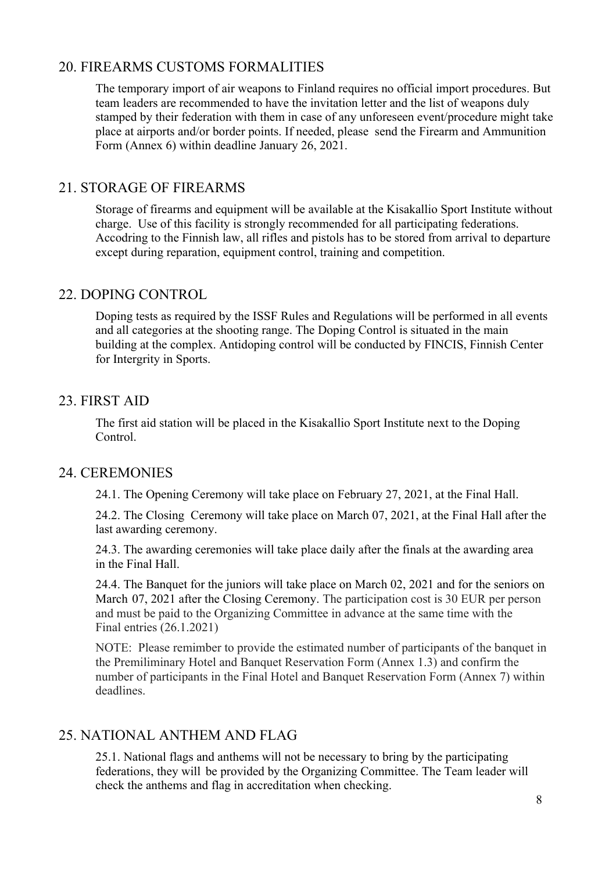## 20. FIREARMS CUSTOMS FORMALITIES

The temporary import of air weapons to Finland requires no official import procedures. But team leaders are recommended to have the invitation letter and the list of weapons duly stamped by their federation with them in case of any unforeseen event/procedure might take place at airports and/or border points. If needed, please send the Firearm and Ammunition Form (Annex 6) within deadline January 26, 2021.

## 21. STORAGE OF FIREARMS

Storage of firearms and equipment will be available at the Kisakallio Sport Institute without charge. Use of this facility is strongly recommended for all participating federations. Accodring to the Finnish law, all rifles and pistols has to be stored from arrival to departure except during reparation, equipment control, training and competition.

### 22. DOPING CONTROL

Doping tests as required by the ISSF Rules and Regulations will be performed in all events and all categories at the shooting range. The Doping Control is situated in the main building at the complex. Antidoping control will be conducted by FINCIS, Finnish Center for Intergrity in Sports.

## 23. FIRST AID

The first aid station will be placed in the Kisakallio Sport Institute next to the Doping Control.

### 24. CEREMONIES

24.1. The Opening Ceremony will take place on February 27, 2021, at the Final Hall.

24.2. The Closing Ceremony will take place on March 07, 2021, at the Final Hall after the last awarding ceremony.

24.3. The awarding ceremonies will take place daily after the finals at the awarding area in the Final Hall.

24.4. The Banquet for the juniors will take place on March 02, 2021 and for the seniors on March 07, 2021 after the Closing Ceremony. The participation cost is 30 EUR per person and must be paid to the Organizing Committee in advance at the same time with the Final entries (26.1.2021)

NOTE: Please remimber to provide the estimated number of participants of the banquet in the Premiliminary Hotel and Banquet Reservation Form (Annex 1.3) and confirm the number of participants in the Final Hotel and Banquet Reservation Form (Annex 7) within deadlines.

## 25. NATIONAL ANTHEM AND FLAG

25.1. National flags and anthems will not be necessary to bring by the participating federations, they will be provided by the Organizing Committee. The Team leader will check the anthems and flag in accreditation when checking.